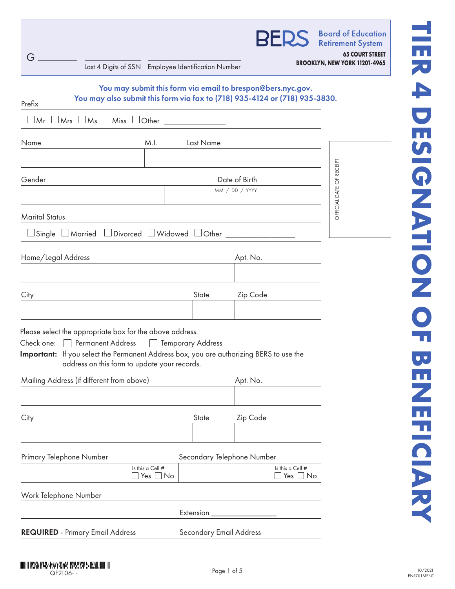| G<br>Last 4 Digits of SSN Employee Identification Number                                                                                                                                                                                                                                            |                                 |                                                             | <b>BERS</b>   Board of Education<br><b>65 COURT STREET</b><br>BROOKLYN, NEW YORK 11201-4965 |  |
|-----------------------------------------------------------------------------------------------------------------------------------------------------------------------------------------------------------------------------------------------------------------------------------------------------|---------------------------------|-------------------------------------------------------------|---------------------------------------------------------------------------------------------|--|
| You may also submit this form via fax to (718) 935-4124 or (718) 935-3830.<br>Prefix                                                                                                                                                                                                                |                                 | You may submit this form via email to brespon@bers.nyc.gov. |                                                                                             |  |
| $\Box$ Mrs $\Box$ Ms $\Box$ Miss $\Box$ Other $\_\_$<br>$\Box$ Mr $\Box$<br>Name<br>M.I.                                                                                                                                                                                                            | Last Name                       |                                                             |                                                                                             |  |
|                                                                                                                                                                                                                                                                                                     |                                 |                                                             |                                                                                             |  |
| Gender                                                                                                                                                                                                                                                                                              | Date of Birth<br>MM / DD / YYYY |                                                             |                                                                                             |  |
| <b>Marital Status</b>                                                                                                                                                                                                                                                                               |                                 |                                                             | OFFICIAL DATE OF RECEIPT                                                                    |  |
| □ Single □ Married □ Divorced □ Widowed □ Other ________                                                                                                                                                                                                                                            |                                 |                                                             |                                                                                             |  |
| Home/Legal Address                                                                                                                                                                                                                                                                                  |                                 | Apt. No.                                                    |                                                                                             |  |
|                                                                                                                                                                                                                                                                                                     |                                 |                                                             |                                                                                             |  |
| City                                                                                                                                                                                                                                                                                                | State                           | Zip Code                                                    |                                                                                             |  |
| Please select the appropriate box for the above address.<br>Check one: Permanent Address Paranorary Address<br>Important: If you select the Permanent Address box, you are authorizing BERS to use the<br>address on this form to update your records.<br>Mailing Address (if different from above) |                                 | Apt. No.                                                    |                                                                                             |  |
|                                                                                                                                                                                                                                                                                                     |                                 |                                                             |                                                                                             |  |
| City                                                                                                                                                                                                                                                                                                | State                           | Zip Code                                                    |                                                                                             |  |
| Primary Telephone Number                                                                                                                                                                                                                                                                            |                                 | Secondary Telephone Number                                  |                                                                                             |  |
| Is this a Cell #<br>$\Box$ Yes $\Box$ No                                                                                                                                                                                                                                                            |                                 | Is this a Cell #<br>$\square$ Yes $\square$ No              |                                                                                             |  |
| Work Telephone Number                                                                                                                                                                                                                                                                               |                                 |                                                             |                                                                                             |  |
|                                                                                                                                                                                                                                                                                                     | Extension                       |                                                             |                                                                                             |  |
| <b>REQUIRED</b> - Primary Email Address                                                                                                                                                                                                                                                             | <b>Secondary Email Address</b>  |                                                             |                                                                                             |  |
|                                                                                                                                                                                                                                                                                                     |                                 |                                                             |                                                                                             |  |

П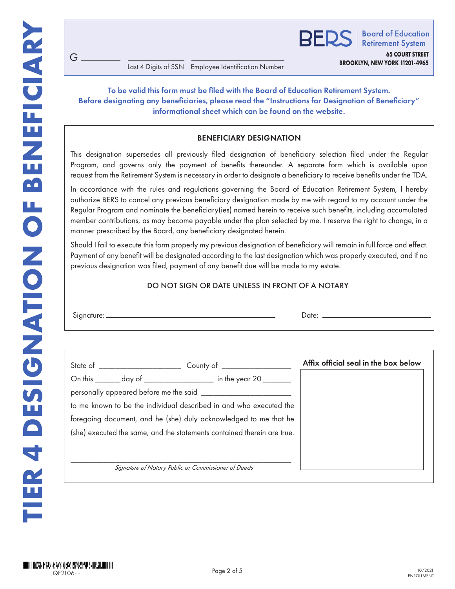G

**BROOKLYN, NEW YORK 11201-4965** Last 4 Digits of SSN Employee Identification Number

# To be valid this form must be filed with the Board of Education Retirement System. Before designating any beneficiaries, please read the "Instructions for Designation of Beneficiary" informational sheet which can be found on the website.

# BENEFICIARY DESIGNATION

This designation supersedes all previously filed designation of beneficiary selection filed under the Regular Program, and governs only the payment of benefits thereunder. A separate form which is available upon request from the Retirement System is necessary in order to designate a beneficiary to receive benefits under the TDA.

In accordance with the rules and regulations governing the Board of Education Retirement System, I hereby authorize BERS to cancel any previous beneficiary designation made by me with regard to my account under the Regular Program and nominate the beneficiary(ies) named herein to receive such benefits, including accumulated member contributions, as may become payable under the plan selected by me. I reserve the right to change, in a manner prescribed by the Board, any beneficiary designated herein.

Should I fail to execute this form properly my previous designation of beneficiary will remain in full force and effect. Payment of any benefit will be designated according to the last designation which was properly executed, and if no previous designation was filed, payment of any benefit due will be made to my estate.

#### DO NOT SIGN OR DATE UNLESS IN FRONT OF A NOTARY

| $\sim$<br><br>____ |  |
|--------------------|--|
|--------------------|--|

|  |                                                                         | Affix official seal in the box below |
|--|-------------------------------------------------------------------------|--------------------------------------|
|  | On this _______ day of ________________ in the year 20 _______          |                                      |
|  |                                                                         |                                      |
|  | to me known to be the individual described in and who executed the      |                                      |
|  | foregoing document, and he (she) duly acknowledged to me that he        |                                      |
|  | (she) executed the same, and the statements contained therein are true. |                                      |
|  |                                                                         |                                      |
|  |                                                                         |                                      |
|  | Signature of Notary Public or Commissioner of Deeds                     |                                      |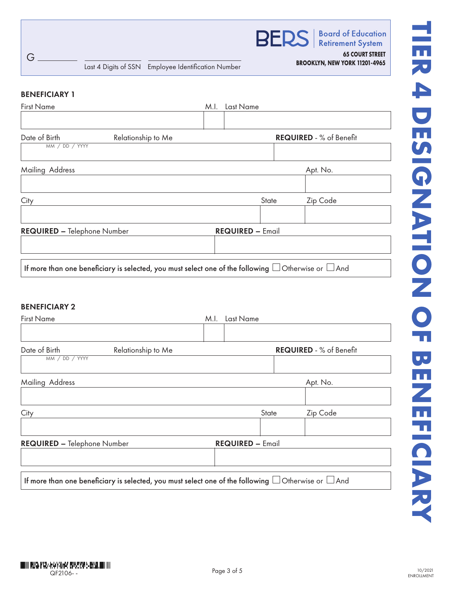

**Board of Education Retirement System** 

**65 COURT STREET**

#### BENEFICIARY 1

| <b>First Name</b>                  |                                                                                                               | M.I. | Last Name               |                                |
|------------------------------------|---------------------------------------------------------------------------------------------------------------|------|-------------------------|--------------------------------|
|                                    |                                                                                                               |      |                         |                                |
| Date of Birth                      | Relationship to Me                                                                                            |      |                         | <b>REQUIRED - % of Benefit</b> |
| MM / DD / YYYY                     |                                                                                                               |      |                         |                                |
| Mailing Address                    |                                                                                                               |      |                         | Apt. No.                       |
|                                    |                                                                                                               |      |                         |                                |
| City                               |                                                                                                               |      | State                   | Zip Code                       |
|                                    |                                                                                                               |      |                         |                                |
| <b>REQUIRED - Telephone Number</b> |                                                                                                               |      | <b>REQUIRED - Email</b> |                                |
|                                    |                                                                                                               |      |                         |                                |
|                                    | If more than one beneficiary is selected, you must select one of the following $\Box$ Otherwise or $\Box$ And |      |                         |                                |

## BENEFICIARY 2

| <b>First Name</b>                                                                                             | Last Name<br>M.I.       |                                |  |  |
|---------------------------------------------------------------------------------------------------------------|-------------------------|--------------------------------|--|--|
| Date of Birth<br>Relationship to Me<br>MM / DD / YYYY                                                         |                         | <b>REQUIRED - % of Benefit</b> |  |  |
| Mailing Address                                                                                               |                         | Apt. No.                       |  |  |
| City                                                                                                          | State                   | Zip Code                       |  |  |
| <b>REQUIRED - Telephone Number</b>                                                                            | <b>REQUIRED - Email</b> |                                |  |  |
| If more than one beneficiary is selected, you must select one of the following $\Box$ Otherwise or $\Box$ And |                         |                                |  |  |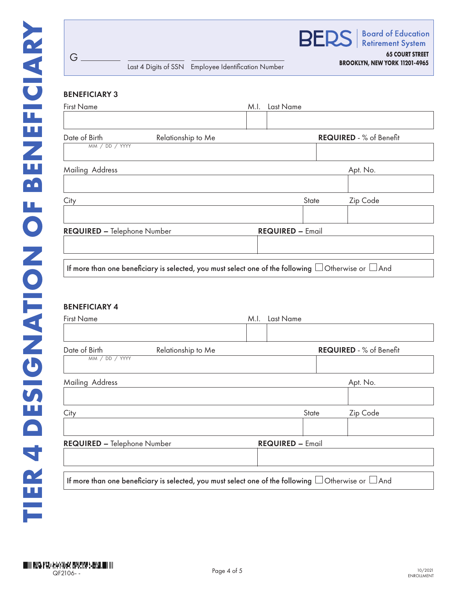

| Date of Birth               | Relationship to Me                                                                                            |                         | <b>REQUIRED - % of Benefit</b> |
|-----------------------------|---------------------------------------------------------------------------------------------------------------|-------------------------|--------------------------------|
| MM / DD / YYYY              |                                                                                                               |                         |                                |
| Mailing Address             |                                                                                                               |                         | Apt. No.                       |
|                             |                                                                                                               |                         |                                |
| City                        |                                                                                                               | State                   | Zip Code                       |
|                             |                                                                                                               |                         |                                |
| REQUIRED - Telephone Number |                                                                                                               | <b>REQUIRED - Email</b> |                                |
|                             |                                                                                                               |                         |                                |
|                             | If more than one beneficiary is selected, you must select one of the following $\Box$ Otherwise or $\Box$ And |                         |                                |

# BENEFICIARY 4

G

| <b>First Name</b>                                                                                             | Last Name<br>M.I. |                         |                                |
|---------------------------------------------------------------------------------------------------------------|-------------------|-------------------------|--------------------------------|
|                                                                                                               |                   |                         |                                |
| Date of Birth<br>Relationship to Me<br>MM / DD / YYYY                                                         |                   |                         | <b>REQUIRED - % of Benefit</b> |
|                                                                                                               |                   |                         |                                |
| Mailing Address                                                                                               |                   |                         | Apt. No.                       |
|                                                                                                               |                   |                         |                                |
| City                                                                                                          |                   | State                   | Zip Code                       |
|                                                                                                               |                   |                         |                                |
| <b>REQUIRED - Telephone Number</b>                                                                            |                   | <b>REQUIRED - Email</b> |                                |
|                                                                                                               |                   |                         |                                |
| If more than one beneficiary is selected, you must select one of the following $\Box$ Otherwise or $\Box$ And |                   |                         |                                |